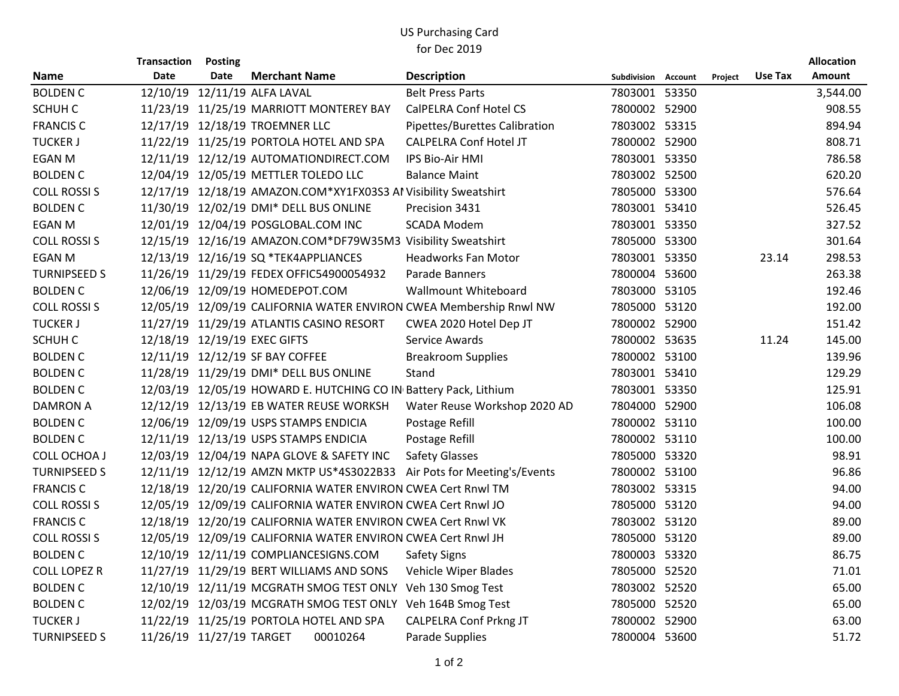## US Purchasing Card for Dec 2019

|                     | <b>Transaction</b> | <b>Posting</b>           |                                                                        |                               |                     |         |         | <b>Allocation</b> |
|---------------------|--------------------|--------------------------|------------------------------------------------------------------------|-------------------------------|---------------------|---------|---------|-------------------|
| <b>Name</b>         | <b>Date</b>        | <b>Date</b>              | <b>Merchant Name</b>                                                   | <b>Description</b>            | Subdivision Account | Project | Use Tax | <b>Amount</b>     |
| <b>BOLDEN C</b>     |                    |                          | 12/10/19 12/11/19 ALFA LAVAL                                           | <b>Belt Press Parts</b>       | 7803001 53350       |         |         | 3,544.00          |
| SCHUH C             |                    |                          | 11/23/19 11/25/19 MARRIOTT MONTEREY BAY                                | <b>CalPELRA Conf Hotel CS</b> | 7800002 52900       |         |         | 908.55            |
| <b>FRANCIS C</b>    |                    |                          | 12/17/19 12/18/19 TROEMNER LLC                                         | Pipettes/Burettes Calibration | 7803002 53315       |         |         | 894.94            |
| <b>TUCKER J</b>     |                    |                          | 11/22/19 11/25/19 PORTOLA HOTEL AND SPA                                | <b>CALPELRA Conf Hotel JT</b> | 7800002 52900       |         |         | 808.71            |
| <b>EGAN M</b>       |                    |                          | 12/11/19 12/12/19 AUTOMATIONDIRECT.COM                                 | <b>IPS Bio-Air HMI</b>        | 7803001 53350       |         |         | 786.58            |
| <b>BOLDEN C</b>     |                    |                          | 12/04/19 12/05/19 METTLER TOLEDO LLC                                   | <b>Balance Maint</b>          | 7803002 52500       |         |         | 620.20            |
| <b>COLL ROSSI S</b> |                    |                          | 12/17/19 12/18/19 AMAZON.COM*XY1FX03S3 Al Visibility Sweatshirt        |                               | 7805000 53300       |         |         | 576.64            |
| <b>BOLDEN C</b>     |                    |                          | 11/30/19 12/02/19 DMI* DELL BUS ONLINE                                 | Precision 3431                | 7803001 53410       |         |         | 526.45            |
| <b>EGAN M</b>       |                    |                          | 12/01/19 12/04/19 POSGLOBAL.COM INC                                    | <b>SCADA Modem</b>            | 7803001 53350       |         |         | 327.52            |
| <b>COLL ROSSIS</b>  |                    |                          | 12/15/19 12/16/19 AMAZON.COM*DF79W35M3 Visibility Sweatshirt           |                               | 7805000 53300       |         |         | 301.64            |
| <b>EGAN M</b>       |                    |                          | 12/13/19 12/16/19 SQ *TEK4APPLIANCES                                   | <b>Headworks Fan Motor</b>    | 7803001 53350       |         | 23.14   | 298.53            |
| <b>TURNIPSEED S</b> |                    |                          | 11/26/19 11/29/19 FEDEX OFFIC54900054932                               | Parade Banners                | 7800004 53600       |         |         | 263.38            |
| <b>BOLDEN C</b>     |                    |                          | 12/06/19 12/09/19 HOMEDEPOT.COM                                        | <b>Wallmount Whiteboard</b>   | 7803000 53105       |         |         | 192.46            |
| <b>COLL ROSSI S</b> |                    |                          | 12/05/19 12/09/19 CALIFORNIA WATER ENVIRON CWEA Membership Rnwl NW     |                               | 7805000 53120       |         |         | 192.00            |
| <b>TUCKER J</b>     |                    |                          | 11/27/19 11/29/19 ATLANTIS CASINO RESORT                               | CWEA 2020 Hotel Dep JT        | 7800002 52900       |         |         | 151.42            |
| SCHUH C             |                    |                          | 12/18/19 12/19/19 EXEC GIFTS                                           | Service Awards                | 7800002 53635       |         | 11.24   | 145.00            |
| <b>BOLDEN C</b>     |                    |                          | 12/11/19 12/12/19 SF BAY COFFEE                                        | <b>Breakroom Supplies</b>     | 7800002 53100       |         |         | 139.96            |
| <b>BOLDEN C</b>     |                    |                          | 11/28/19 11/29/19 DMI* DELL BUS ONLINE                                 | Stand                         | 7803001 53410       |         |         | 129.29            |
| <b>BOLDEN C</b>     |                    |                          | 12/03/19 12/05/19 HOWARD E. HUTCHING CO IN Battery Pack, Lithium       |                               | 7803001 53350       |         |         | 125.91            |
| <b>DAMRON A</b>     |                    |                          | 12/12/19 12/13/19 EB WATER REUSE WORKSH                                | Water Reuse Workshop 2020 AD  | 7804000 52900       |         |         | 106.08            |
| <b>BOLDEN C</b>     |                    |                          | 12/06/19 12/09/19 USPS STAMPS ENDICIA                                  | Postage Refill                | 7800002 53110       |         |         | 100.00            |
| <b>BOLDEN C</b>     |                    |                          | 12/11/19 12/13/19 USPS STAMPS ENDICIA                                  | Postage Refill                | 7800002 53110       |         |         | 100.00            |
| <b>COLL OCHOA J</b> |                    |                          | 12/03/19 12/04/19 NAPA GLOVE & SAFETY INC                              | <b>Safety Glasses</b>         | 7805000 53320       |         |         | 98.91             |
| <b>TURNIPSEED S</b> |                    |                          | 12/11/19 12/12/19 AMZN MKTP US*4S3022B33 Air Pots for Meeting's/Events |                               | 7800002 53100       |         |         | 96.86             |
| <b>FRANCIS C</b>    |                    |                          | 12/18/19 12/20/19 CALIFORNIA WATER ENVIRON CWEA Cert Rnwl TM           |                               | 7803002 53315       |         |         | 94.00             |
| <b>COLL ROSSI S</b> |                    |                          | 12/05/19 12/09/19 CALIFORNIA WATER ENVIRON CWEA Cert Rnwl JO           |                               | 7805000 53120       |         |         | 94.00             |
| <b>FRANCIS C</b>    |                    |                          | 12/18/19 12/20/19 CALIFORNIA WATER ENVIRON CWEA Cert Rnwl VK           |                               | 7803002 53120       |         |         | 89.00             |
| <b>COLL ROSSIS</b>  |                    |                          | 12/05/19 12/09/19 CALIFORNIA WATER ENVIRON CWEA Cert Rnwl JH           |                               | 7805000 53120       |         |         | 89.00             |
| <b>BOLDEN C</b>     |                    |                          | 12/10/19 12/11/19 COMPLIANCESIGNS.COM                                  | Safety Signs                  | 7800003 53320       |         |         | 86.75             |
| <b>COLL LOPEZ R</b> |                    |                          | 11/27/19 11/29/19 BERT WILLIAMS AND SONS                               | Vehicle Wiper Blades          | 7805000 52520       |         |         | 71.01             |
| <b>BOLDEN C</b>     |                    |                          | 12/10/19 12/11/19 MCGRATH SMOG TEST ONLY Veh 130 Smog Test             |                               | 7803002 52520       |         |         | 65.00             |
| <b>BOLDEN C</b>     |                    |                          | 12/02/19 12/03/19 MCGRATH SMOG TEST ONLY Veh 164B Smog Test            |                               | 7805000 52520       |         |         | 65.00             |
| <b>TUCKER J</b>     |                    |                          | 11/22/19 11/25/19 PORTOLA HOTEL AND SPA                                | <b>CALPELRA Conf Prkng JT</b> | 7800002 52900       |         |         | 63.00             |
| <b>TURNIPSEED S</b> |                    | 11/26/19 11/27/19 TARGET | 00010264                                                               | Parade Supplies               | 7800004 53600       |         |         | 51.72             |